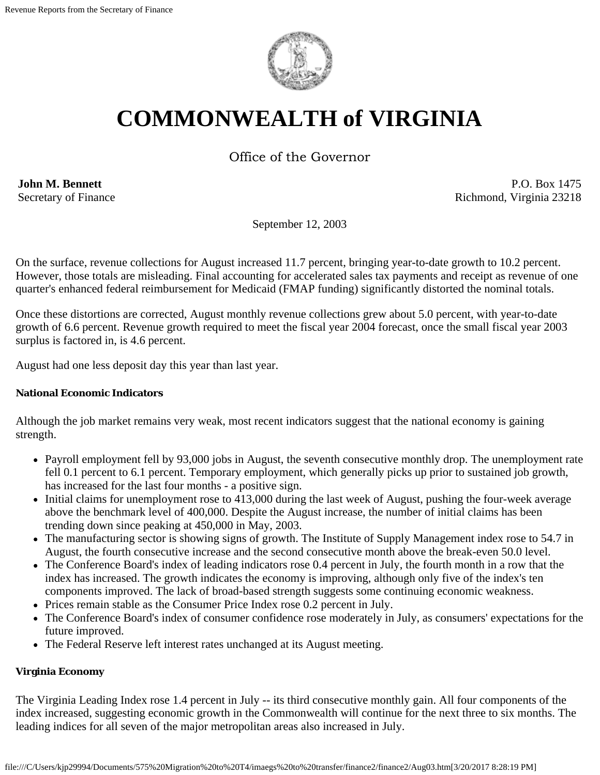

# **COMMONWEALTH of VIRGINIA**

Office of the Governor

**John M. Bennett** Secretary of Finance

P.O. Box 1475 Richmond, Virginia 23218

September 12, 2003

On the surface, revenue collections for August increased 11.7 percent, bringing year-to-date growth to 10.2 percent. However, those totals are misleading. Final accounting for accelerated sales tax payments and receipt as revenue of one quarter's enhanced federal reimbursement for Medicaid (FMAP funding) significantly distorted the nominal totals.

Once these distortions are corrected, August monthly revenue collections grew about 5.0 percent, with year-to-date growth of 6.6 percent. Revenue growth required to meet the fiscal year 2004 forecast, once the small fiscal year 2003 surplus is factored in, is 4.6 percent.

August had one less deposit day this year than last year.

## **National Economic Indicators**

Although the job market remains very weak, most recent indicators suggest that the national economy is gaining strength.

- Payroll employment fell by 93,000 jobs in August, the seventh consecutive monthly drop. The unemployment rate fell 0.1 percent to 6.1 percent. Temporary employment, which generally picks up prior to sustained job growth, has increased for the last four months - a positive sign.
- Initial claims for unemployment rose to 413,000 during the last week of August, pushing the four-week average above the benchmark level of 400,000. Despite the August increase, the number of initial claims has been trending down since peaking at 450,000 in May, 2003.
- The manufacturing sector is showing signs of growth. The Institute of Supply Management index rose to 54.7 in August, the fourth consecutive increase and the second consecutive month above the break-even 50.0 level.
- The Conference Board's index of leading indicators rose 0.4 percent in July, the fourth month in a row that the index has increased. The growth indicates the economy is improving, although only five of the index's ten components improved. The lack of broad-based strength suggests some continuing economic weakness.
- Prices remain stable as the Consumer Price Index rose 0.2 percent in July.
- The Conference Board's index of consumer confidence rose moderately in July, as consumers' expectations for the future improved.
- The Federal Reserve left interest rates unchanged at its August meeting.

## **Virginia Economy**

The Virginia Leading Index rose 1.4 percent in July -- its third consecutive monthly gain. All four components of the index increased, suggesting economic growth in the Commonwealth will continue for the next three to six months. The leading indices for all seven of the major metropolitan areas also increased in July.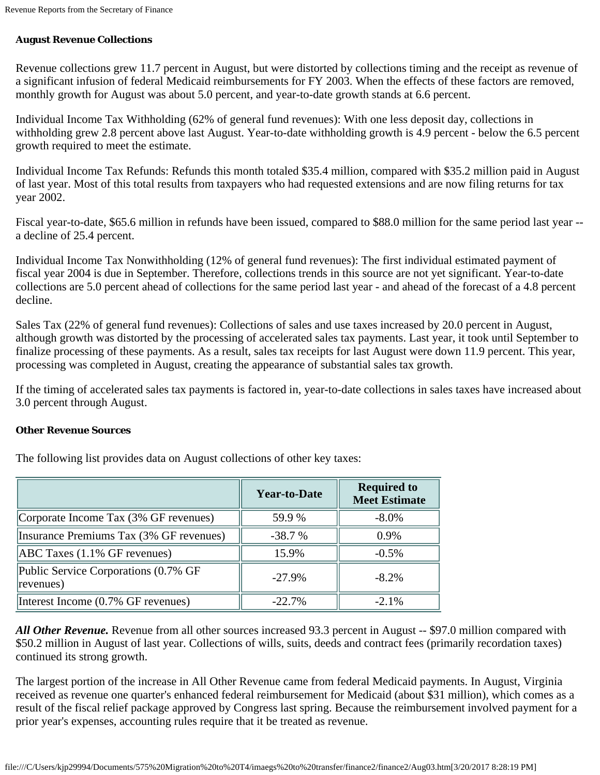# **August Revenue Collections**

Revenue collections grew 11.7 percent in August, but were distorted by collections timing and the receipt as revenue of a significant infusion of federal Medicaid reimbursements for FY 2003. When the effects of these factors are removed, monthly growth for August was about 5.0 percent, and year-to-date growth stands at 6.6 percent.

Individual Income Tax Withholding (62% of general fund revenues): With one less deposit day, collections in withholding grew 2.8 percent above last August. Year-to-date withholding growth is 4.9 percent - below the 6.5 percent growth required to meet the estimate.

Individual Income Tax Refunds: Refunds this month totaled \$35.4 million, compared with \$35.2 million paid in August of last year. Most of this total results from taxpayers who had requested extensions and are now filing returns for tax year 2002.

Fiscal year-to-date, \$65.6 million in refunds have been issued, compared to \$88.0 million for the same period last year - a decline of 25.4 percent.

Individual Income Tax Nonwithholding (12% of general fund revenues): The first individual estimated payment of fiscal year 2004 is due in September. Therefore, collections trends in this source are not yet significant. Year-to-date collections are 5.0 percent ahead of collections for the same period last year - and ahead of the forecast of a 4.8 percent decline.

Sales Tax (22% of general fund revenues): Collections of sales and use taxes increased by 20.0 percent in August, although growth was distorted by the processing of accelerated sales tax payments. Last year, it took until September to finalize processing of these payments. As a result, sales tax receipts for last August were down 11.9 percent. This year, processing was completed in August, creating the appearance of substantial sales tax growth.

If the timing of accelerated sales tax payments is factored in, year-to-date collections in sales taxes have increased about 3.0 percent through August.

#### **Other Revenue Sources**

The following list provides data on August collections of other key taxes:

|                                                   | <b>Year-to-Date</b> | <b>Required to</b><br><b>Meet Estimate</b> |
|---------------------------------------------------|---------------------|--------------------------------------------|
| Corporate Income Tax (3% GF revenues)             | 59.9%               | $-8.0\%$                                   |
| Insurance Premiums Tax (3% GF revenues)           | $-38.7%$            | 0.9%                                       |
| $ABC$ Taxes $(1.1\%$ GF revenues)                 | 15.9%               | $-0.5\%$                                   |
| Public Service Corporations (0.7% GF<br>revenues) | $-27.9%$            | $-8.2\%$                                   |
| Interest Income (0.7% GF revenues)                | $-22.7%$            | $-2.1\%$                                   |

*All Other Revenue.* Revenue from all other sources increased 93.3 percent in August -- \$97.0 million compared with \$50.2 million in August of last year. Collections of wills, suits, deeds and contract fees (primarily recordation taxes) continued its strong growth.

The largest portion of the increase in All Other Revenue came from federal Medicaid payments. In August, Virginia received as revenue one quarter's enhanced federal reimbursement for Medicaid (about \$31 million), which comes as a result of the fiscal relief package approved by Congress last spring. Because the reimbursement involved payment for a prior year's expenses, accounting rules require that it be treated as revenue.